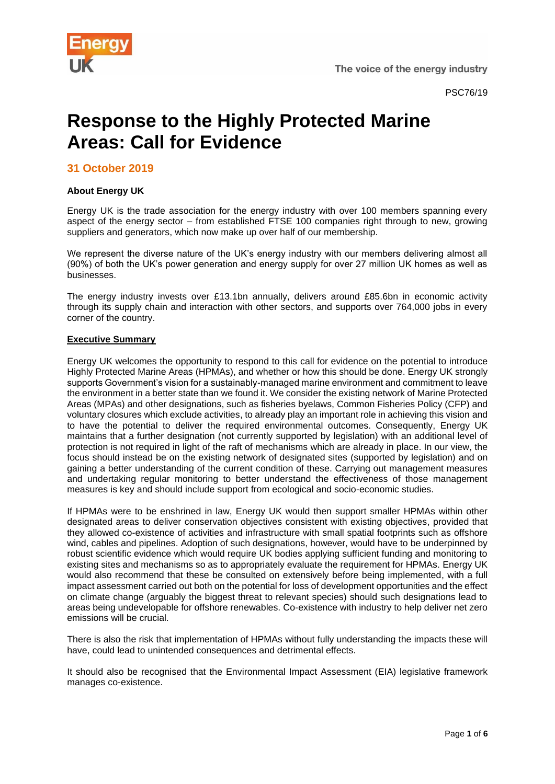

The voice of the energy industry

# **Response to the Highly Protected Marine Areas: Call for Evidence**

**31 October 2019**

## **About Energy UK**

Energy UK is the trade association for the energy industry with over 100 members spanning every aspect of the energy sector – from established FTSE 100 companies right through to new, growing suppliers and generators, which now make up over half of our membership.

We represent the diverse nature of the UK's energy industry with our members delivering almost all (90%) of both the UK's power generation and energy supply for over 27 million UK homes as well as businesses.

The energy industry invests over £13.1bn annually, delivers around £85.6bn in economic activity through its supply chain and interaction with other sectors, and supports over 764,000 jobs in every corner of the country.

## **Executive Summary**

Energy UK welcomes the opportunity to respond to this call for evidence on the potential to introduce Highly Protected Marine Areas (HPMAs), and whether or how this should be done. Energy UK strongly supports Government's vision for a sustainably-managed marine environment and commitment to leave the environment in a better state than we found it. We consider the existing network of Marine Protected Areas (MPAs) and other designations, such as fisheries byelaws, Common Fisheries Policy (CFP) and voluntary closures which exclude activities, to already play an important role in achieving this vision and to have the potential to deliver the required environmental outcomes. Consequently, Energy UK maintains that a further designation (not currently supported by legislation) with an additional level of protection is not required in light of the raft of mechanisms which are already in place. In our view, the focus should instead be on the existing network of designated sites (supported by legislation) and on gaining a better understanding of the current condition of these. Carrying out management measures and undertaking regular monitoring to better understand the effectiveness of those management measures is key and should include support from ecological and socio-economic studies.

If HPMAs were to be enshrined in law, Energy UK would then support smaller HPMAs within other designated areas to deliver conservation objectives consistent with existing objectives, provided that they allowed co-existence of activities and infrastructure with small spatial footprints such as offshore wind, cables and pipelines. Adoption of such designations, however, would have to be underpinned by robust scientific evidence which would require UK bodies applying sufficient funding and monitoring to existing sites and mechanisms so as to appropriately evaluate the requirement for HPMAs. Energy UK would also recommend that these be consulted on extensively before being implemented, with a full impact assessment carried out both on the potential for loss of development opportunities and the effect on climate change (arguably the biggest threat to relevant species) should such designations lead to areas being undevelopable for offshore renewables. Co-existence with industry to help deliver net zero emissions will be crucial.

There is also the risk that implementation of HPMAs without fully understanding the impacts these will have, could lead to unintended consequences and detrimental effects.

It should also be recognised that the Environmental Impact Assessment (EIA) legislative framework manages co-existence.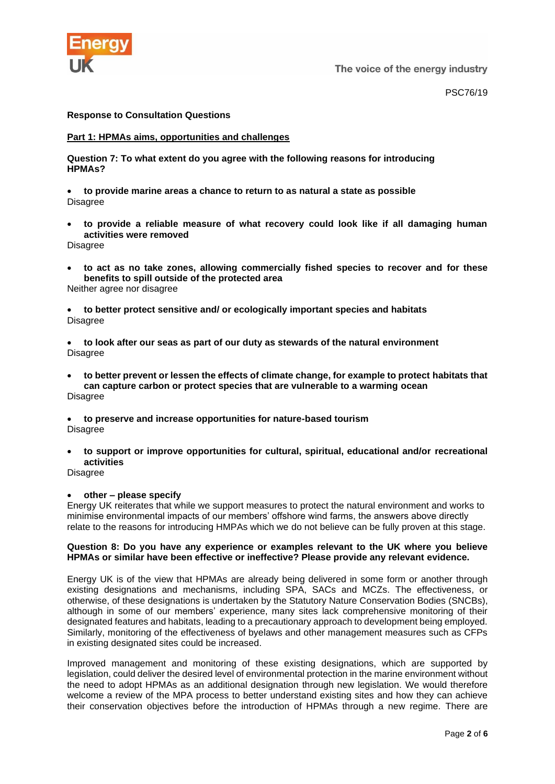

The voice of the energy industry

PSC76/19

## **Response to Consultation Questions**

### **Part 1: HPMAs aims, opportunities and challenges**

**Question 7: To what extent do you agree with the following reasons for introducing HPMAs?** 

• **to provide marine areas a chance to return to as natural a state as possible Disagree** 

• **to provide a reliable measure of what recovery could look like if all damaging human activities were removed**

Disagree

- **to act as no take zones, allowing commercially fished species to recover and for these benefits to spill outside of the protected area**
- Neither agree nor disagree

• **to better protect sensitive and/ or ecologically important species and habitats** Disagree

• **to look after our seas as part of our duty as stewards of the natural environment** Disagree

- **to better prevent or lessen the effects of climate change, for example to protect habitats that can capture carbon or protect species that are vulnerable to a warming ocean** Disagree
- **to preserve and increase opportunities for nature-based tourism** Disagree
- **to support or improve opportunities for cultural, spiritual, educational and/or recreational activities**

Disagree

#### • **other – please specify**

Energy UK reiterates that while we support measures to protect the natural environment and works to minimise environmental impacts of our members' offshore wind farms, the answers above directly relate to the reasons for introducing HMPAs which we do not believe can be fully proven at this stage.

#### **Question 8: Do you have any experience or examples relevant to the UK where you believe HPMAs or similar have been effective or ineffective? Please provide any relevant evidence.**

Energy UK is of the view that HPMAs are already being delivered in some form or another through existing designations and mechanisms, including SPA, SACs and MCZs. The effectiveness, or otherwise, of these designations is undertaken by the Statutory Nature Conservation Bodies (SNCBs), although in some of our members' experience, many sites lack comprehensive monitoring of their designated features and habitats, leading to a precautionary approach to development being employed. Similarly, monitoring of the effectiveness of byelaws and other management measures such as CFPs in existing designated sites could be increased.

Improved management and monitoring of these existing designations, which are supported by legislation, could deliver the desired level of environmental protection in the marine environment without the need to adopt HPMAs as an additional designation through new legislation. We would therefore welcome a review of the MPA process to better understand existing sites and how they can achieve their conservation objectives before the introduction of HPMAs through a new regime. There are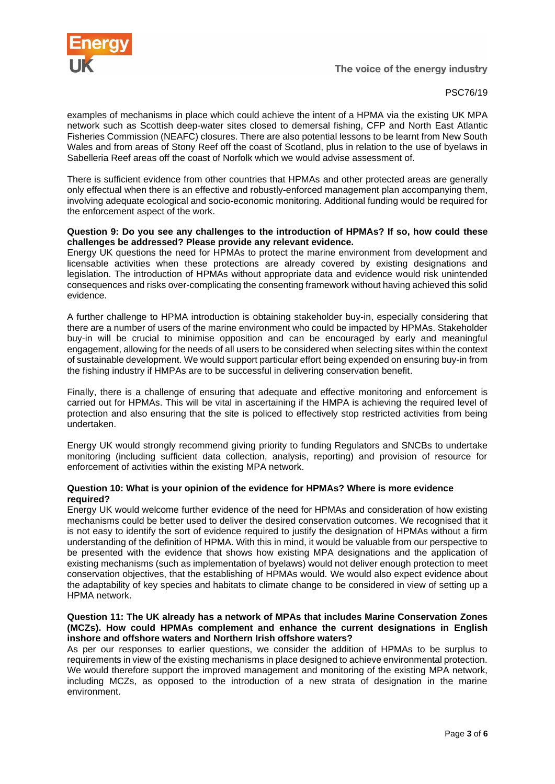

#### PSC76/19

examples of mechanisms in place which could achieve the intent of a HPMA via the existing UK MPA network such as Scottish deep-water sites closed to demersal fishing, CFP and North East Atlantic Fisheries Commission (NEAFC) closures. There are also potential lessons to be learnt from New South Wales and from areas of Stony Reef off the coast of Scotland, plus in relation to the use of byelaws in Sabelleria Reef areas off the coast of Norfolk which we would advise assessment of.

There is sufficient evidence from other countries that HPMAs and other protected areas are generally only effectual when there is an effective and robustly-enforced management plan accompanying them, involving adequate ecological and socio-economic monitoring. Additional funding would be required for the enforcement aspect of the work.

#### **Question 9: Do you see any challenges to the introduction of HPMAs? If so, how could these challenges be addressed? Please provide any relevant evidence.**

Energy UK questions the need for HPMAs to protect the marine environment from development and licensable activities when these protections are already covered by existing designations and legislation. The introduction of HPMAs without appropriate data and evidence would risk unintended consequences and risks over-complicating the consenting framework without having achieved this solid evidence.

A further challenge to HPMA introduction is obtaining stakeholder buy-in, especially considering that there are a number of users of the marine environment who could be impacted by HPMAs. Stakeholder buy-in will be crucial to minimise opposition and can be encouraged by early and meaningful engagement, allowing for the needs of all users to be considered when selecting sites within the context of sustainable development. We would support particular effort being expended on ensuring buy-in from the fishing industry if HMPAs are to be successful in delivering conservation benefit.

Finally, there is a challenge of ensuring that adequate and effective monitoring and enforcement is carried out for HPMAs. This will be vital in ascertaining if the HMPA is achieving the required level of protection and also ensuring that the site is policed to effectively stop restricted activities from being undertaken.

Energy UK would strongly recommend giving priority to funding Regulators and SNCBs to undertake monitoring (including sufficient data collection, analysis, reporting) and provision of resource for enforcement of activities within the existing MPA network.

#### **Question 10: What is your opinion of the evidence for HPMAs? Where is more evidence required?**

Energy UK would welcome further evidence of the need for HPMAs and consideration of how existing mechanisms could be better used to deliver the desired conservation outcomes. We recognised that it is not easy to identify the sort of evidence required to justify the designation of HPMAs without a firm understanding of the definition of HPMA. With this in mind, it would be valuable from our perspective to be presented with the evidence that shows how existing MPA designations and the application of existing mechanisms (such as implementation of byelaws) would not deliver enough protection to meet conservation objectives, that the establishing of HPMAs would. We would also expect evidence about the adaptability of key species and habitats to climate change to be considered in view of setting up a HPMA network.

## **Question 11: The UK already has a network of MPAs that includes Marine Conservation Zones (MCZs). How could HPMAs complement and enhance the current designations in English inshore and offshore waters and Northern Irish offshore waters?**

As per our responses to earlier questions, we consider the addition of HPMAs to be surplus to requirements in view of the existing mechanisms in place designed to achieve environmental protection. We would therefore support the improved management and monitoring of the existing MPA network, including MCZs, as opposed to the introduction of a new strata of designation in the marine environment.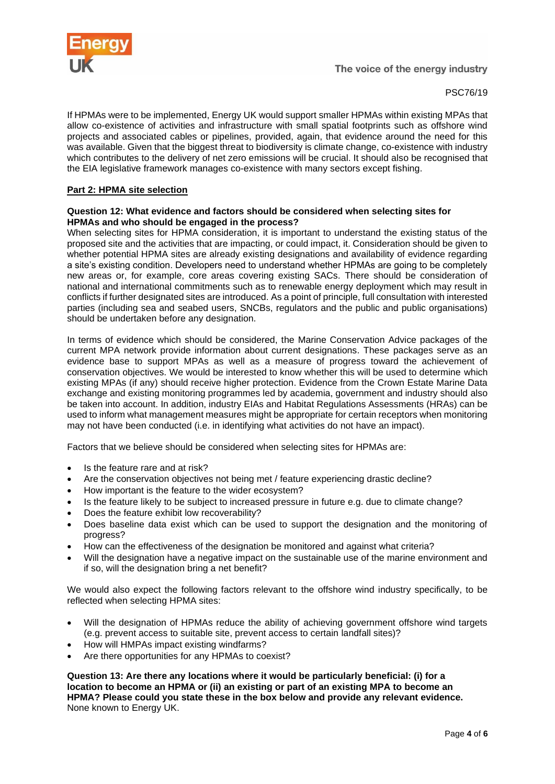

If HPMAs were to be implemented, Energy UK would support smaller HPMAs within existing MPAs that allow co-existence of activities and infrastructure with small spatial footprints such as offshore wind projects and associated cables or pipelines, provided, again, that evidence around the need for this was available. Given that the biggest threat to biodiversity is climate change, co-existence with industry which contributes to the delivery of net zero emissions will be crucial. It should also be recognised that the EIA legislative framework manages co-existence with many sectors except fishing.

## **Part 2: HPMA site selection**

#### **Question 12: What evidence and factors should be considered when selecting sites for HPMAs and who should be engaged in the process?**

When selecting sites for HPMA consideration, it is important to understand the existing status of the proposed site and the activities that are impacting, or could impact, it. Consideration should be given to whether potential HPMA sites are already existing designations and availability of evidence regarding a site's existing condition. Developers need to understand whether HPMAs are going to be completely new areas or, for example, core areas covering existing SACs. There should be consideration of national and international commitments such as to renewable energy deployment which may result in conflicts if further designated sites are introduced. As a point of principle, full consultation with interested parties (including sea and seabed users, SNCBs, regulators and the public and public organisations) should be undertaken before any designation.

In terms of evidence which should be considered, the Marine Conservation Advice packages of the current MPA network provide information about current designations. These packages serve as an evidence base to support MPAs as well as a measure of progress toward the achievement of conservation objectives. We would be interested to know whether this will be used to determine which existing MPAs (if any) should receive higher protection. Evidence from the Crown Estate Marine Data exchange and existing monitoring programmes led by academia, government and industry should also be taken into account. In addition, industry EIAs and Habitat Regulations Assessments (HRAs) can be used to inform what management measures might be appropriate for certain receptors when monitoring may not have been conducted (i.e. in identifying what activities do not have an impact).

Factors that we believe should be considered when selecting sites for HPMAs are:

- Is the feature rare and at risk?
- Are the conservation objectives not being met / feature experiencing drastic decline?
- How important is the feature to the wider ecosystem?
- Is the feature likely to be subject to increased pressure in future e.g. due to climate change?
- Does the feature exhibit low recoverability?
- Does baseline data exist which can be used to support the designation and the monitoring of progress?
- How can the effectiveness of the designation be monitored and against what criteria?
- Will the designation have a negative impact on the sustainable use of the marine environment and if so, will the designation bring a net benefit?

We would also expect the following factors relevant to the offshore wind industry specifically, to be reflected when selecting HPMA sites:

- Will the designation of HPMAs reduce the ability of achieving government offshore wind targets (e.g. prevent access to suitable site, prevent access to certain landfall sites)?
- How will HMPAs impact existing windfarms?
- Are there opportunities for any HPMAs to coexist?

**Question 13: Are there any locations where it would be particularly beneficial: (i) for a location to become an HPMA or (ii) an existing or part of an existing MPA to become an HPMA? Please could you state these in the box below and provide any relevant evidence.** None known to Energy UK.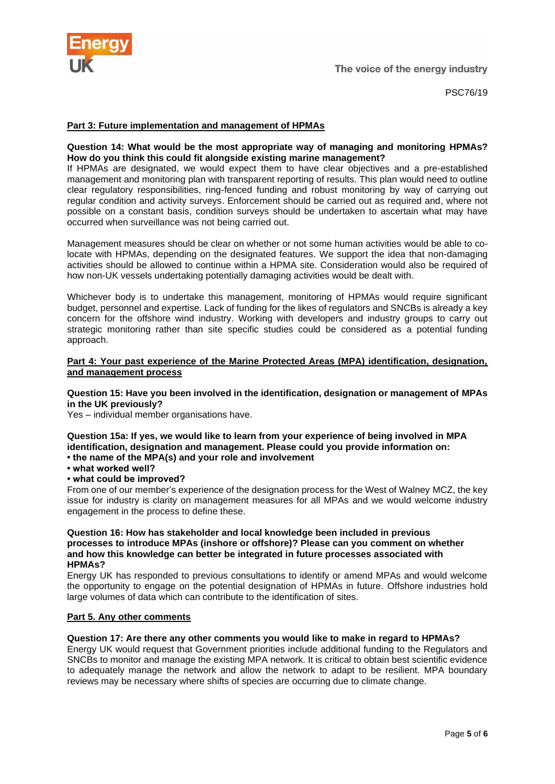

PSC76/19

## **Part 3: Future implementation and management of HPMAs**

## **Question 14: What would be the most appropriate way of managing and monitoring HPMAs? How do you think this could fit alongside existing marine management?**

If HPMAs are designated, we would expect them to have clear objectives and a pre-established management and monitoring plan with transparent reporting of results. This plan would need to outline clear regulatory responsibilities, ring-fenced funding and robust monitoring by way of carrying out regular condition and activity surveys. Enforcement should be carried out as required and, where not possible on a constant basis, condition surveys should be undertaken to ascertain what may have occurred when surveillance was not being carried out.

Management measures should be clear on whether or not some human activities would be able to colocate with HPMAs, depending on the designated features. We support the idea that non-damaging activities should be allowed to continue within a HPMA site. Consideration would also be required of how non-UK vessels undertaking potentially damaging activities would be dealt with.

Whichever body is to undertake this management, monitoring of HPMAs would require significant budget, personnel and expertise. Lack of funding for the likes of regulators and SNCBs is already a key concern for the offshore wind industry. Working with developers and industry groups to carry out strategic monitoring rather than site specific studies could be considered as a potential funding approach.

## **Part 4: Your past experience of the Marine Protected Areas (MPA) identification, designation, and management process**

## **Question 15: Have you been involved in the identification, designation or management of MPAs in the UK previously?**

Yes – individual member organisations have.

**Question 15a: If yes, we would like to learn from your experience of being involved in MPA identification, designation and management. Please could you provide information on: • the name of the MPA(s) and your role and involvement**

- **what worked well?**
- **what could be improved?**

From one of our member's experience of the designation process for the West of Walney MCZ, the key issue for industry is clarity on management measures for all MPAs and we would welcome industry engagement in the process to define these.

#### **Question 16: How has stakeholder and local knowledge been included in previous processes to introduce MPAs (inshore or offshore)? Please can you comment on whether and how this knowledge can better be integrated in future processes associated with HPMAs?**

Energy UK has responded to previous consultations to identify or amend MPAs and would welcome the opportunity to engage on the potential designation of HPMAs in future. Offshore industries hold large volumes of data which can contribute to the identification of sites.

#### **Part 5. Any other comments**

# **Question 17: Are there any other comments you would like to make in regard to HPMAs?**

Energy UK would request that Government priorities include additional funding to the Regulators and SNCBs to monitor and manage the existing MPA network. It is critical to obtain best scientific evidence to adequately manage the network and allow the network to adapt to be resilient. MPA boundary reviews may be necessary where shifts of species are occurring due to climate change.